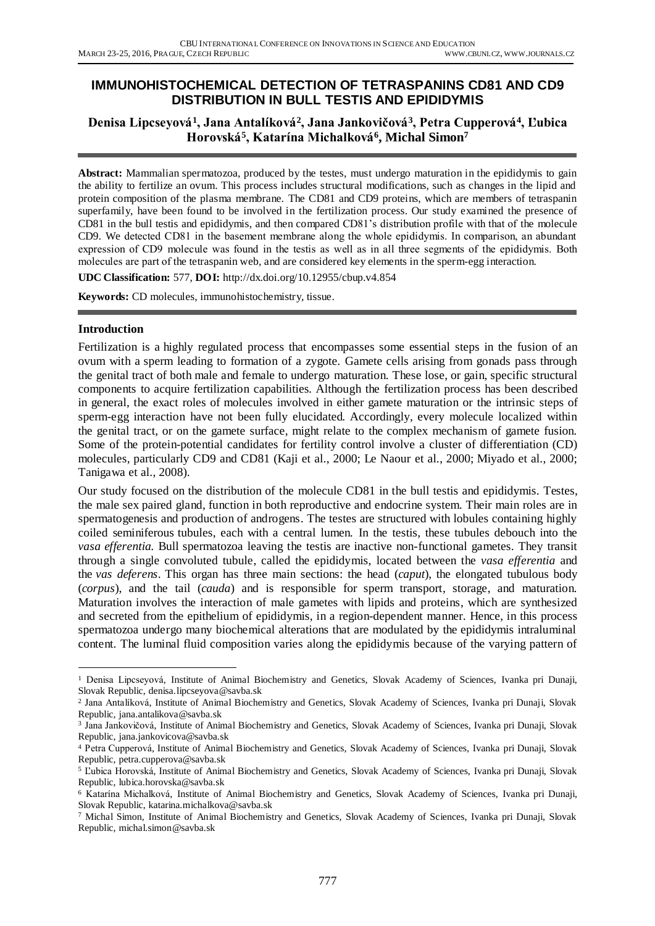# **IMMUNOHISTOCHEMICAL DETECTION OF TETRASPANINS CD81 AND CD9 DISTRIBUTION IN BULL TESTIS AND EPIDIDYMIS**

## **Denisa Lipcseyová<sup>1</sup> , Jana Antalíková<sup>2</sup> , Jana Jankovičová<sup>3</sup> , Petra Cupperová<sup>4</sup> , Ľubica Horovská<sup>5</sup> , Katarína Michalková<sup>6</sup> , Michal Simon<sup>7</sup>**

**Abstract:** Mammalian spermatozoa, produced by the testes, must undergo maturation in the epididymis to gain the ability to fertilize an ovum. This process includes structural modifications, such as changes in the lipid and protein composition of the plasma membrane. The CD81 and CD9 proteins, which are members of tetraspanin superfamily, have been found to be involved in the fertilization process. Our study examined the presence of CD81 in the bull testis and epididymis, and then compared CD81's distribution profile with that of the molecule CD9. We detected CD81 in the basement membrane along the whole epididymis. In comparison, an abundant expression of CD9 molecule was found in the testis as well as in all three segments of the epididymis. Both molecules are part of the tetraspanin web, and are considered key elements in the sperm-egg interaction.

**UDC Classification:** 577, **DOI:** http://dx.doi.org/10.12955/cbup.v4.854

**Keywords:** CD molecules, immunohistochemistry, tissue.

#### **Introduction**

 $\overline{a}$ 

Fertilization is a highly regulated process that encompasses some essential steps in the fusion of an ovum with a sperm leading to formation of a zygote. Gamete cells arising from gonads pass through the genital tract of both male and female to undergo maturation. These lose, or gain, specific structural components to acquire fertilization capabilities. Although the fertilization process has been described in general, the exact roles of molecules involved in either gamete maturation or the intrinsic steps of sperm-egg interaction have not been fully elucidated. Accordingly, every molecule localized within the genital tract, or on the gamete surface, might relate to the complex mechanism of gamete fusion. Some of the protein-potential candidates for fertility control involve a cluster of differentiation (CD) molecules, particularly CD9 and CD81 (Kaji et al., 2000; Le Naour et al., 2000; Miyado et al., 2000; Tanigawa et al., 2008).

Our study focused on the distribution of the molecule CD81 in the bull testis and epididymis. Testes, the male sex paired gland, function in both reproductive and endocrine system. Their main roles are in spermatogenesis and production of androgens. The testes are structured with lobules containing highly coiled seminiferous tubules, each with a central lumen. In the testis, these tubules debouch into the *vasa efferentia*. Bull spermatozoa leaving the testis are inactive non-functional gametes. They transit through a single convoluted tubule, called the epididymis, located between the *vasa efferentia* and the *vas deferens*. This organ has three main sections: the head (*caput*), the elongated tubulous body (*corpus*), and the tail (*cauda*) and is responsible for sperm transport, storage, and maturation. Maturation involves the interaction of male gametes with lipids and proteins, which are synthesized and secreted from the epithelium of epididymis, in a region-dependent manner. Hence, in this process spermatozoa undergo many biochemical alterations that are modulated by the epididymis intraluminal content. The luminal fluid composition varies along the epididymis because of the varying pattern of

<sup>1</sup> Denisa Lipcseyová, Institute of Animal Biochemistry and Genetics, Slovak Academy of Sciences, Ivanka pri Dunaji, Slovak Republic, denisa.lipcseyova@savba.sk

<sup>2</sup> Jana Antalíková, Institute of Animal Biochemistry and Genetics, Slovak Academy of Sciences, Ivanka pri Dunaji, Slovak Republic, jana.antalikova@savba.sk

<sup>3</sup> Jana Jankovičová, Institute of Animal Biochemistry and Genetics, Slovak Academy of Sciences, Ivanka pri Dunaji, Slovak Republic, jana.jankovicova@savba.sk

<sup>4</sup> Petra Cupperová, Institute of Animal Biochemistry and Genetics, Slovak Academy of Sciences, Ivanka pri Dunaji, Slovak Republic, petra.cupperova@savba.sk

<sup>5</sup> Ľubica Horovská, Institute of Animal Biochemistry and Genetics, Slovak Academy of Sciences, Ivanka pri Dunaji, Slovak Republic, lubica.horovska@savba.sk

<sup>6</sup> Katarína Michalková, Institute of Animal Biochemistry and Genetics, Slovak Academy of Sciences, Ivanka pri Dunaji, Slovak Republic, katarina.michalkova@savba.sk

<sup>7</sup> Michal Simon, Institute of Animal Biochemistry and Genetics, Slovak Academy of Sciences, Ivanka pri Dunaji, Slovak Republic, michal.simon@savba.sk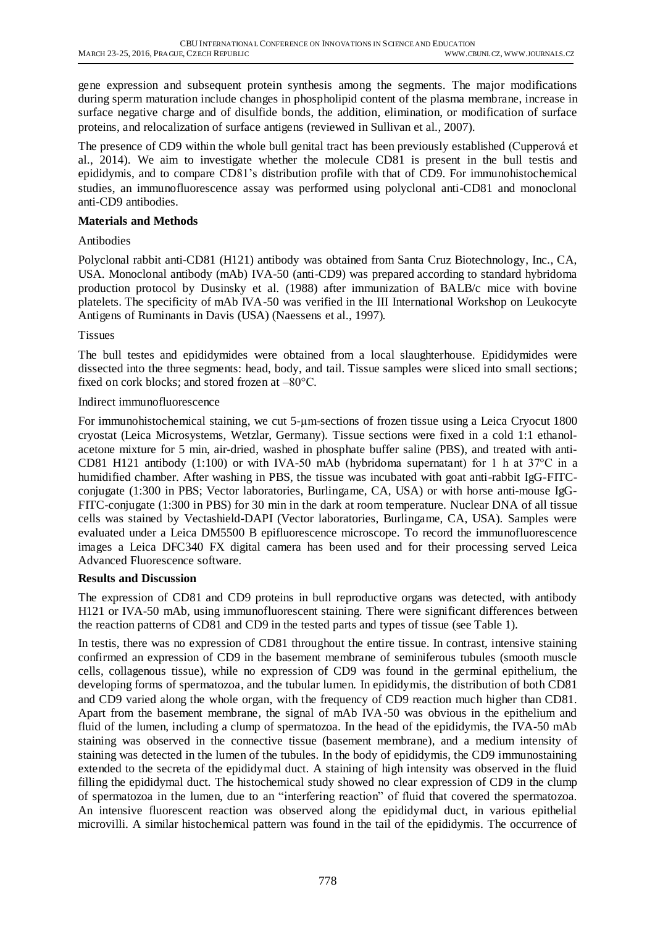gene expression and subsequent protein synthesis among the segments. The major modifications during sperm maturation include changes in phospholipid content of the plasma membrane, increase in surface negative charge and of disulfide bonds, the addition, elimination, or modification of surface proteins, and relocalization of surface antigens (reviewed in Sullivan et al., 2007).

The presence of CD9 within the whole bull genital tract has been previously established (Cupperová et al., 2014). We aim to investigate whether the molecule CD81 is present in the bull testis and epididymis, and to compare CD81's distribution profile with that of CD9. For immunohistochemical studies, an immunofluorescence assay was performed using polyclonal anti-CD81 and monoclonal anti-CD9 antibodies.

### **Materials and Methods**

### Antibodies

Polyclonal rabbit anti-CD81 (H121) antibody was obtained from Santa Cruz Biotechnology, Inc., CA, USA. Monoclonal antibody (mAb) IVA-50 (anti-CD9) was prepared according to standard hybridoma production protocol by Dusinsky et al. (1988) after immunization of BALB/c mice with bovine platelets. The specificity of mAb IVA-50 was verified in the III International Workshop on Leukocyte Antigens of Ruminants in Davis (USA) (Naessens et al., 1997).

### Tissues

The bull testes and epididymides were obtained from a local slaughterhouse. Epididymides were dissected into the three segments: head, body, and tail. Tissue samples were sliced into small sections; fixed on cork blocks; and stored frozen at –80°C.

### Indirect immunofluorescence

For immunohistochemical staining, we cut 5-µm-sections of frozen tissue using a Leica Cryocut 1800 cryostat (Leica Microsystems, Wetzlar, Germany). Tissue sections were fixed in a cold 1:1 ethanolacetone mixture for 5 min, air-dried, washed in phosphate buffer saline (PBS), and treated with anti-CD81 H121 antibody (1:100) or with IVA-50 mAb (hybridoma supernatant) for 1 h at 37°C in a humidified chamber. After washing in PBS, the tissue was incubated with goat anti-rabbit IgG-FITCconjugate (1:300 in PBS; Vector laboratories, Burlingame, CA, USA) or with horse anti-mouse IgG-FITC-conjugate (1:300 in PBS) for 30 min in the dark at room temperature. Nuclear DNA of all tissue cells was stained by Vectashield-DAPI (Vector laboratories, Burlingame, CA, USA). Samples were evaluated under a Leica DM5500 B epifluorescence microscope. To record the immunofluorescence images a Leica DFC340 FX digital camera has been used and for their processing served Leica Advanced Fluorescence software.

#### **Results and Discussion**

The expression of CD81 and CD9 proteins in bull reproductive organs was detected, with antibody H121 or IVA-50 mAb, using immunofluorescent staining. There were significant differences between the reaction patterns of CD81 and CD9 in the tested parts and types of tissue (see Table 1).

In testis, there was no expression of CD81 throughout the entire tissue. In contrast, intensive staining confirmed an expression of CD9 in the basement membrane of seminiferous tubules (smooth muscle cells, collagenous tissue), while no expression of CD9 was found in the germinal epithelium, the developing forms of spermatozoa, and the tubular lumen. In epididymis, the distribution of both CD81 and CD9 varied along the whole organ, with the frequency of CD9 reaction much higher than CD81. Apart from the basement membrane, the signal of mAb IVA-50 was obvious in the epithelium and fluid of the lumen, including a clump of spermatozoa. In the head of the epididymis, the IVA-50 mAb staining was observed in the connective tissue (basement membrane), and a medium intensity of staining was detected in the lumen of the tubules. In the body of epididymis, the CD9 immunostaining extended to the secreta of the epididymal duct. A staining of high intensity was observed in the fluid filling the epididymal duct. The histochemical study showed no clear expression of CD9 in the clump of spermatozoa in the lumen, due to an "interfering reaction" of fluid that covered the spermatozoa. An intensive fluorescent reaction was observed along the epididymal duct, in various epithelial microvilli. A similar histochemical pattern was found in the tail of the epididymis. The occurrence of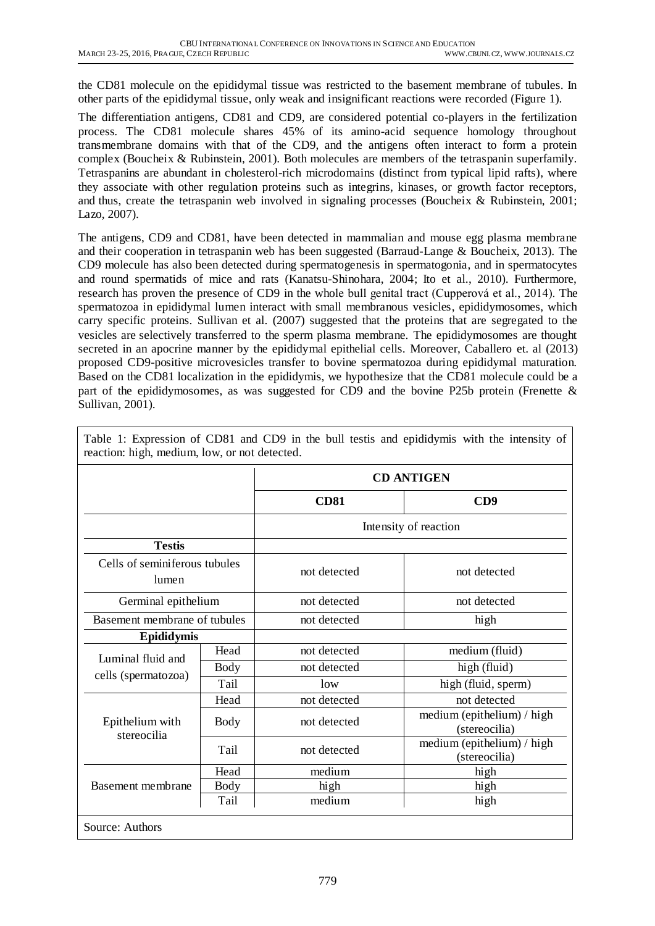the CD81 molecule on the epididymal tissue was restricted to the basement membrane of tubules. In other parts of the epididymal tissue, only weak and insignificant reactions were recorded (Figure 1).

The differentiation antigens, CD81 and CD9, are considered potential co-players in the fertilization process. The CD81 molecule shares 45% of its amino-acid sequence homology throughout transmembrane domains with that of the CD9, and the antigens often interact to form a protein complex (Boucheix & Rubinstein, 2001). Both molecules are members of the tetraspanin superfamily. Tetraspanins are abundant in cholesterol-rich microdomains (distinct from typical lipid rafts), where they associate with other regulation proteins such as integrins, kinases, or growth factor receptors, and thus, create the tetraspanin web involved in signaling processes (Boucheix & Rubinstein, 2001; Lazo, 2007).

The antigens, CD9 and CD81, have been detected in mammalian and mouse egg plasma membrane and their cooperation in tetraspanin web has been suggested (Barraud-Lange & Boucheix, 2013). The CD9 molecule has also been detected during spermatogenesis in spermatogonia, and in spermatocytes and round spermatids of mice and rats (Kanatsu-Shinohara, 2004; Ito et al., 2010). Furthermore, research has proven the presence of CD9 in the whole bull genital tract (Cupperová et al., 2014). The spermatozoa in epididymal lumen interact with small membranous vesicles, epididymosomes, which carry specific proteins. Sullivan et al. (2007) suggested that the proteins that are segregated to the vesicles are selectively transferred to the sperm plasma membrane. The epididymosomes are thought secreted in an apocrine manner by the epididymal epithelial cells. Moreover, Caballero et. al (2013) proposed CD9-positive microvesicles transfer to bovine spermatozoa during epididymal maturation. Based on the CD81 localization in the epididymis, we hypothesize that the CD81 molecule could be a part of the epididymosomes, as was suggested for CD9 and the bovine P25b protein (Frenette & Sullivan, 2001).

|                                          |      | <b>CD ANTIGEN</b>     |                                             |
|------------------------------------------|------|-----------------------|---------------------------------------------|
|                                          |      | <b>CD81</b>           | CD9                                         |
|                                          |      | Intensity of reaction |                                             |
| <b>Testis</b>                            |      |                       |                                             |
| Cells of seminiferous tubules<br>lumen   |      | not detected          | not detected                                |
| Germinal epithelium                      |      | not detected          | not detected                                |
| Basement membrane of tubules             |      | not detected          | high                                        |
| Epididymis                               |      |                       |                                             |
| Luminal fluid and<br>cells (spermatozoa) | Head | not detected          | medium (fluid)                              |
|                                          | Body | not detected          | high (fluid)                                |
|                                          | Tail | low                   | high (fluid, sperm)                         |
| Epithelium with<br>stereocilia           | Head | not detected          | not detected                                |
|                                          | Body | not detected          | medium (epithelium) / high<br>(stereocilia) |
|                                          | Tail | not detected          | medium (epithelium) / high<br>(stereocilia) |
| Basement membrane                        | Head | medium                | high                                        |
|                                          | Body | high                  | high                                        |
|                                          | Tail | medium                | high                                        |
| Source: Authors                          |      |                       |                                             |

Table 1: Expression of CD81 and CD9 in the bull testis and epididymis with the intensity of reaction: high, medium, low, or not detected.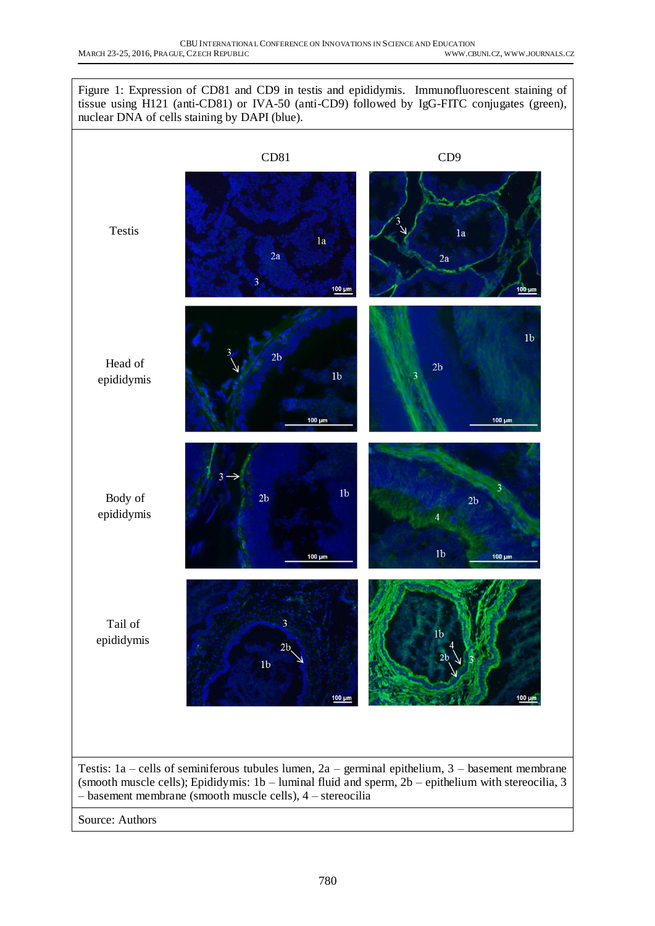Figure 1: Expression of CD81 and CD9 in testis and epididymis. Immunofluorescent staining of tissue using H121 (anti-CD81) or IVA-50 (anti-CD9) followed by IgG-FITC conjugates (green), nuclear DNA of cells staining by DAPI (blue). CD81 CD9 Testis  $1a$  $1a$  $2a$  $2a$  $\overline{3}$ 100 µm 100 µm  $1<sub>b</sub>$  $2<sub>b</sub>$ Head of  $2<sub>b</sub>$  $1<sub>b</sub>$ epididymis 100 µm 100  $\mu$ m  $1<sub>b</sub>$ Body of  $2<sub>b</sub>$  $2<sub>b</sub>$ epididymis  $1<sub>b</sub>$ 100 µm 100 µm Tail of  $\overline{3}$ ١ŀ epididymis $2<sub>h</sub>$  $1<sub>b</sub>$ 100 µm 100 um Testis: 1a – cells of seminiferous tubules lumen, 2a – germinal epithelium, 3 – basement membrane (smooth muscle cells); Epididymis: 1b – luminal fluid and sperm, 2b – epithelium with stereocilia, 3 – basement membrane (smooth muscle cells), 4 – stereocilia

Source: Authors